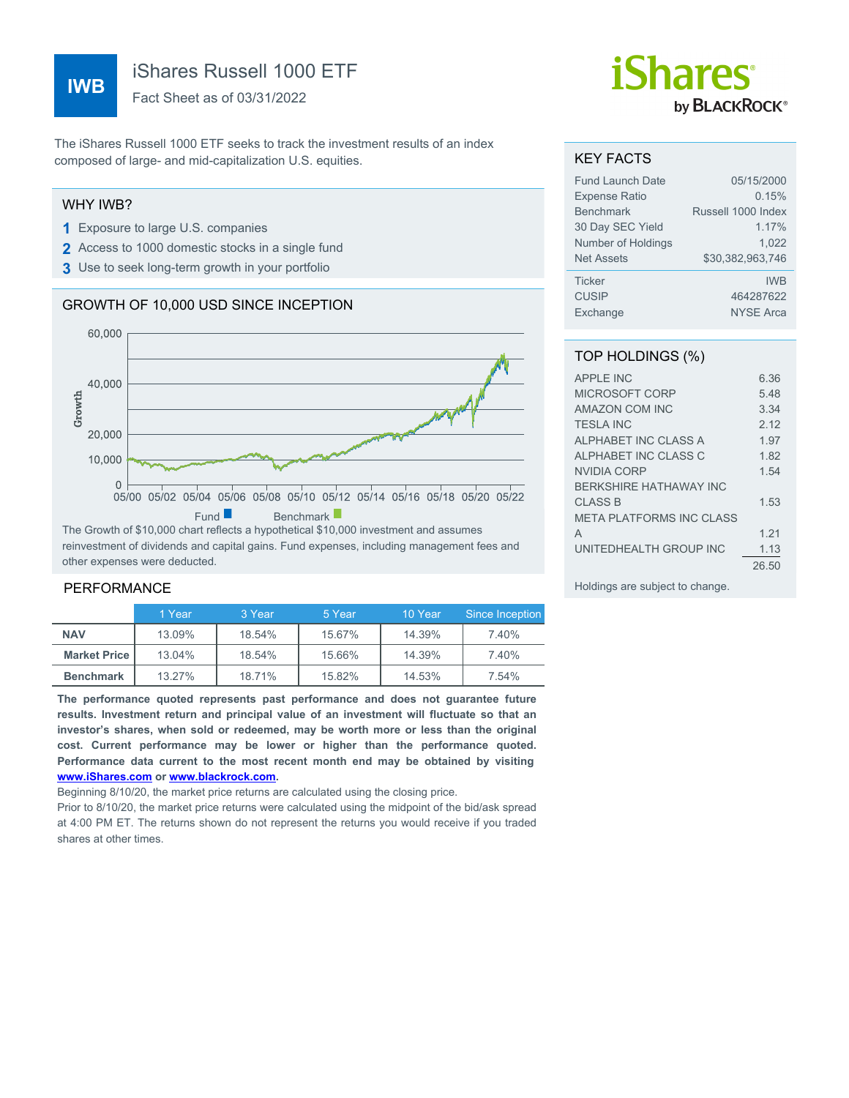# **IWB**

iShares Russell 1000 ETF

Fact Sheet as of 03/31/2022

The iShares Russell 1000 ETF seeks to track the investment results of an index composed of large- and mid-capitalization U.S. equities.

#### WHY IWB?

- **1** Exposure to large U.S. companies
- **2** Access to 1000 domestic stocks in a single fund
- **3** Use to seek long-term growth in your portfolio

# GROWTH OF 10,000 USD SINCE INCEPTION



reinvestment of dividends and capital gains. Fund expenses, including management fees and other expenses were deducted.

#### PERFORMANCE

|                       | 1 Year | 3 Year | 5 Year | 10 Year | Since Inception |
|-----------------------|--------|--------|--------|---------|-----------------|
| <b>NAV</b>            | 13.09% | 18.54% | 15.67% | 14.39%  | 7.40%           |
| <b>Market Price  </b> | 13.04% | 18.54% | 15.66% | 14.39%  | 7.40%           |
| <b>Benchmark</b>      | 13.27% | 18.71% | 15.82% | 14.53%  | 7.54%           |

**The performance quoted represents past performance and does not guarantee future results. Investment return and principal value of an investment will fluctuate so that an investor's shares, when sold or redeemed, may be worth more or less than the original cost. Current performance may be lower or higher than the performance quoted. Performance data current to the most recent month end may be obtained by visiting [www.iShares.com](http://www.iShares.com) or [www.blackrock.com](http://www.blackrock.com).**

Beginning 8/10/20, the market price returns are calculated using the closing price.

Prior to 8/10/20, the market price returns were calculated using the midpoint of the bid/ask spread at 4:00 PM ET. The returns shown do not represent the returns you would receive if you traded shares at other times.

# *iShares* by **BLACKROCK**®

### KEY FACTS

| <b>Fund Launch Date</b> | 05/15/2000         |
|-------------------------|--------------------|
| <b>Expense Ratio</b>    | 0.15%              |
| <b>Benchmark</b>        | Russell 1000 Index |
| 30 Day SEC Yield        | 1.17%              |
| Number of Holdings      | 1.022              |
| <b>Net Assets</b>       | \$30.382.963.746   |
| <b>Ticker</b>           | <b>IWB</b>         |
| <b>CUSIP</b>            | 464287622          |
| Exchange                | <b>NYSE Arca</b>   |

## TOP HOLDINGS (%)

| <b>APPLE INC</b>                | 6.36  |
|---------------------------------|-------|
| MICROSOFT CORP                  | 5.48  |
| <b>AMAZON COM INC</b>           | 3.34  |
| <b>TESLA INC</b>                | 2.12  |
| ALPHABET INC CLASS A            | 1.97  |
| ALPHABET INC CLASS C            | 1.82  |
| NVIDIA CORP                     | 1.54  |
| <b>BERKSHIRE HATHAWAY INC</b>   |       |
| <b>CLASS B</b>                  | 1 53  |
| <b>META PLATFORMS INC CLASS</b> |       |
| A                               | 1 21  |
| UNITEDHEALTH GROUP INC          | 1.13  |
|                                 | 26.50 |
|                                 |       |

Holdings are subject to change.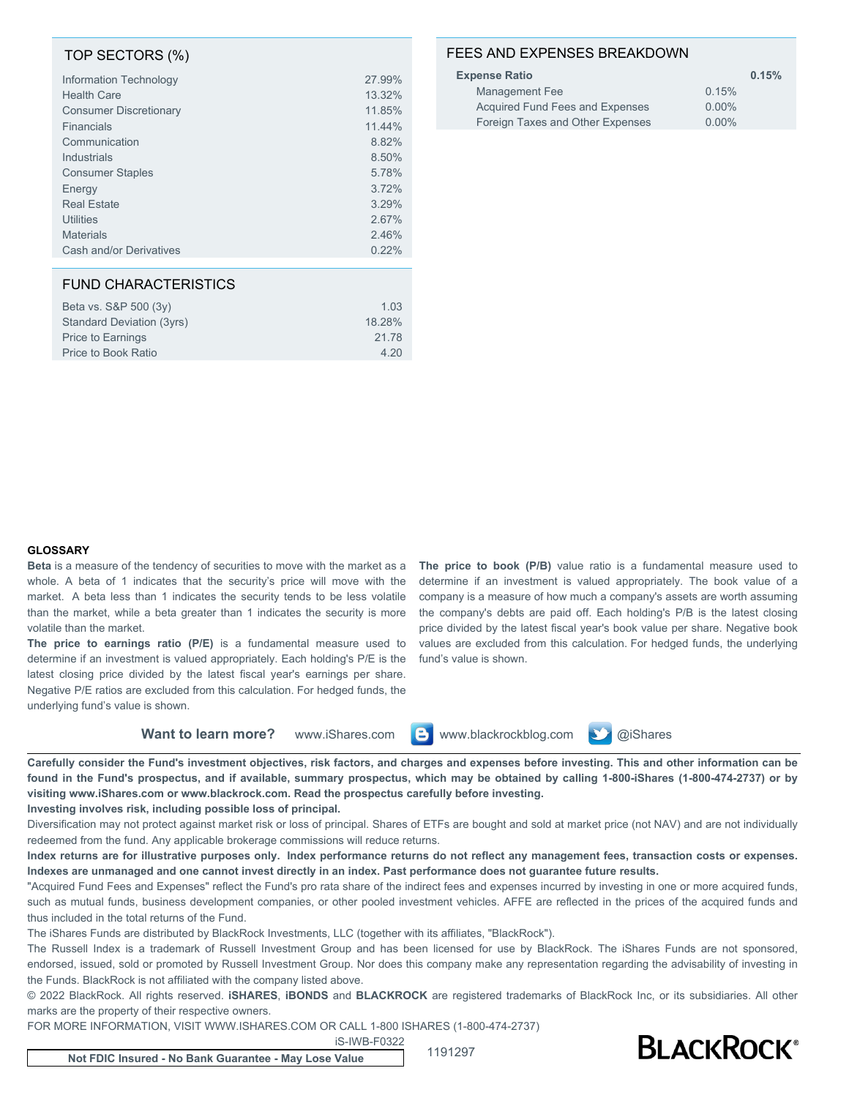#### TOP SECTORS (%)

| Information Technology        | 27.99% |
|-------------------------------|--------|
| <b>Health Care</b>            | 13.32% |
| <b>Consumer Discretionary</b> | 11.85% |
| Financials                    | 11.44% |
| Communication                 | 8.82%  |
| Industrials                   | 8.50%  |
| <b>Consumer Staples</b>       | 5.78%  |
| Energy                        | 3.72%  |
| <b>Real Estate</b>            | 3.29%  |
| Utilities                     | 2.67%  |
| <b>Materials</b>              | 2.46%  |
| Cash and/or Derivatives       | 0.22%  |
|                               |        |

#### FUND CHARACTERISTICS

| Beta vs. S&P 500 (3y)     | 103    |
|---------------------------|--------|
| Standard Deviation (3yrs) | 18.28% |
| <b>Price to Earnings</b>  | 21.78  |
| Price to Book Ratio       | 4.20   |
|                           |        |

## FEES AND EXPENSES BREAKDOWN

| <b>Expense Ratio</b>             |          | 0.15% |
|----------------------------------|----------|-------|
| Management Fee                   | 0.15%    |       |
| Acquired Fund Fees and Expenses  | $0.00\%$ |       |
| Foreign Taxes and Other Expenses | $0.00\%$ |       |

#### **GLOSSARY**

**Beta** is a measure of the tendency of securities to move with the market as a whole. A beta of 1 indicates that the security's price will move with the market. A beta less than 1 indicates the security tends to be less volatile than the market, while a beta greater than 1 indicates the security is more volatile than the market.

**The price to earnings ratio (P/E)** is a fundamental measure used to determine if an investment is valued appropriately. Each holding's P/E is the latest closing price divided by the latest fiscal year's earnings per share. Negative P/E ratios are excluded from this calculation. For hedged funds, the underlying fund's value is shown.

**The price to book (P/B)** value ratio is a fundamental measure used to determine if an investment is valued appropriately. The book value of a company is a measure of how much a company's assets are worth assuming the company's debts are paid off. Each holding's P/B is the latest closing price divided by the latest fiscal year's book value per share. Negative book values are excluded from this calculation. For hedged funds, the underlying fund's value is shown.

Want to learn more? www.iShares.com **B** www.blackrockblog.com **W** @iShares

**Carefully consider the Fund's investment objectives, risk factors, and charges and expenses before investing. This and other information can be found in the Fund's prospectus, and if available, summary prospectus, which may be obtained by calling 1-800-iShares (1-800-474-2737) or by visiting www.iShares.com or www.blackrock.com. Read the prospectus carefully before investing.**

#### **Investing involves risk, including possible loss of principal.**

Diversification may not protect against market risk or loss of principal. Shares of ETFs are bought and sold at market price (not NAV) and are not individually redeemed from the fund. Any applicable brokerage commissions will reduce returns.

**Index returns are for illustrative purposes only. Index performance returns do not reflect any management fees, transaction costs or expenses. Indexes are unmanaged and one cannot invest directly in an index. Past performance does not guarantee future results.**

"Acquired Fund Fees and Expenses" reflect the Fund's pro rata share of the indirect fees and expenses incurred by investing in one or more acquired funds, such as mutual funds, business development companies, or other pooled investment vehicles. AFFE are reflected in the prices of the acquired funds and thus included in the total returns of the Fund.

The iShares Funds are distributed by BlackRock Investments, LLC (together with its affiliates, "BlackRock").

The Russell Index is a trademark of Russell Investment Group and has been licensed for use by BlackRock. The iShares Funds are not sponsored, endorsed, issued, sold or promoted by Russell Investment Group. Nor does this company make any representation regarding the advisability of investing in the Funds. BlackRock is not affiliated with the company listed above.

© 2022 BlackRock. All rights reserved. **iSHARES**, **iBONDS** and **BLACKROCK** are registered trademarks of BlackRock Inc, or its subsidiaries. All other marks are the property of their respective owners.

FOR MORE INFORMATION, VISIT WWW.ISHARES.COM OR CALL 1-800 ISHARES (1-800-474-2737)

iS-IWB-F0322